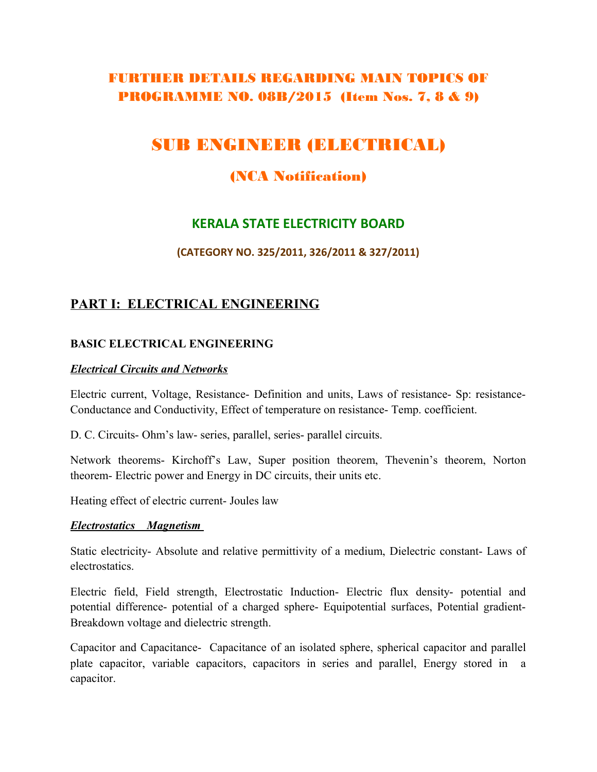# FURTHER DETAILS REGARDING MAIN TOPICS OF PROGRAMME NO. 08B/2015 (Item Nos. 7, 8 & 9)

# SUB ENGINEER (ELECTRICAL)

## (NCA Notification)

## **KERALA STATE ELECTRICITY BOARD**

#### **(CATEGORY NO. 325/2011, 326/2011 & 327/2011)**

## **PART I: ELECTRICAL ENGINEERING**

#### **BASIC ELECTRICAL ENGINEERING**

#### *Electrical Circuits and Networks*

Electric current, Voltage, Resistance- Definition and units, Laws of resistance- Sp: resistance-Conductance and Conductivity, Effect of temperature on resistance- Temp. coefficient.

D. C. Circuits- Ohm's law- series, parallel, series- parallel circuits.

Network theorems- Kirchoff's Law, Super position theorem, Thevenin's theorem, Norton theorem- Electric power and Energy in DC circuits, their units etc.

Heating effect of electric current- Joules law

#### *Electrostatics Magnetism*

Static electricity- Absolute and relative permittivity of a medium, Dielectric constant- Laws of electrostatics.

Electric field, Field strength, Electrostatic Induction- Electric flux density- potential and potential difference- potential of a charged sphere- Equipotential surfaces, Potential gradient-Breakdown voltage and dielectric strength.

Capacitor and Capacitance- Capacitance of an isolated sphere, spherical capacitor and parallel plate capacitor, variable capacitors, capacitors in series and parallel, Energy stored in a capacitor.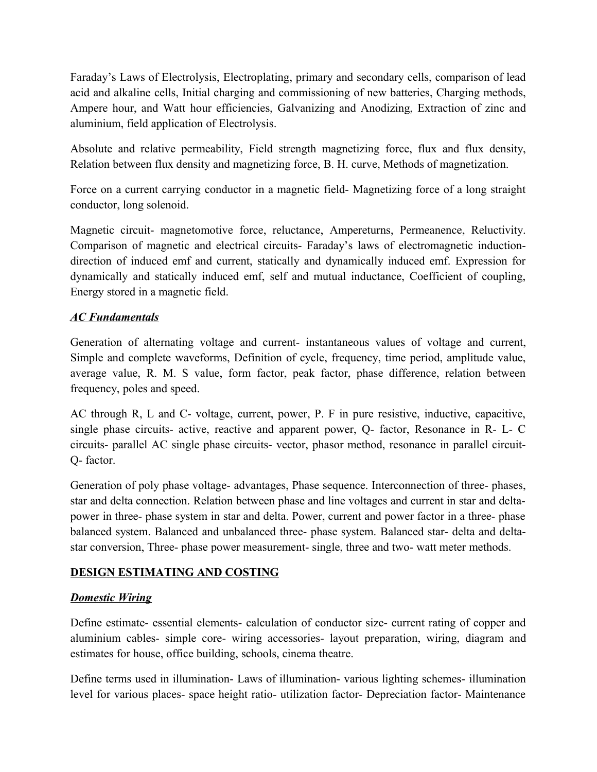Faraday's Laws of Electrolysis, Electroplating, primary and secondary cells, comparison of lead acid and alkaline cells, Initial charging and commissioning of new batteries, Charging methods, Ampere hour, and Watt hour efficiencies, Galvanizing and Anodizing, Extraction of zinc and aluminium, field application of Electrolysis.

Absolute and relative permeability, Field strength magnetizing force, flux and flux density, Relation between flux density and magnetizing force, B. H. curve, Methods of magnetization.

Force on a current carrying conductor in a magnetic field- Magnetizing force of a long straight conductor, long solenoid.

Magnetic circuit- magnetomotive force, reluctance, Ampereturns, Permeanence, Reluctivity. Comparison of magnetic and electrical circuits- Faraday's laws of electromagnetic inductiondirection of induced emf and current, statically and dynamically induced emf. Expression for dynamically and statically induced emf, self and mutual inductance, Coefficient of coupling, Energy stored in a magnetic field.

### *AC Fundamentals*

Generation of alternating voltage and current- instantaneous values of voltage and current, Simple and complete waveforms, Definition of cycle, frequency, time period, amplitude value, average value, R. M. S value, form factor, peak factor, phase difference, relation between frequency, poles and speed.

AC through R, L and C- voltage, current, power, P. F in pure resistive, inductive, capacitive, single phase circuits- active, reactive and apparent power, Q- factor, Resonance in R- L- C circuits- parallel AC single phase circuits- vector, phasor method, resonance in parallel circuit-Q- factor.

Generation of poly phase voltage- advantages, Phase sequence. Interconnection of three- phases, star and delta connection. Relation between phase and line voltages and current in star and deltapower in three- phase system in star and delta. Power, current and power factor in a three- phase balanced system. Balanced and unbalanced three- phase system. Balanced star- delta and deltastar conversion, Three- phase power measurement- single, three and two- watt meter methods.

### **DESIGN ESTIMATING AND COSTING**

### *Domestic Wiring*

Define estimate- essential elements- calculation of conductor size- current rating of copper and aluminium cables- simple core- wiring accessories- layout preparation, wiring, diagram and estimates for house, office building, schools, cinema theatre.

Define terms used in illumination- Laws of illumination- various lighting schemes- illumination level for various places- space height ratio- utilization factor- Depreciation factor- Maintenance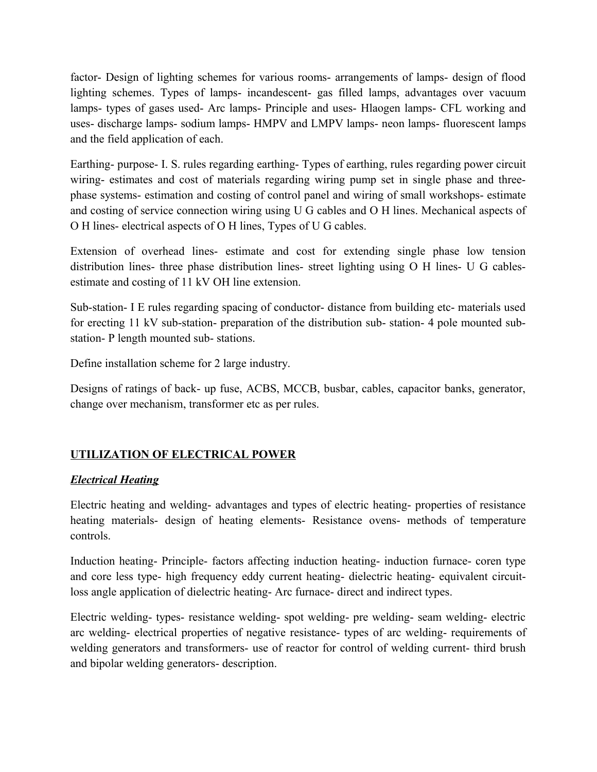factor- Design of lighting schemes for various rooms- arrangements of lamps- design of flood lighting schemes. Types of lamps- incandescent- gas filled lamps, advantages over vacuum lamps- types of gases used- Arc lamps- Principle and uses- Hlaogen lamps- CFL working and uses- discharge lamps- sodium lamps- HMPV and LMPV lamps- neon lamps- fluorescent lamps and the field application of each.

Earthing- purpose- I. S. rules regarding earthing- Types of earthing, rules regarding power circuit wiring- estimates and cost of materials regarding wiring pump set in single phase and threephase systems- estimation and costing of control panel and wiring of small workshops- estimate and costing of service connection wiring using U G cables and O H lines. Mechanical aspects of O H lines- electrical aspects of O H lines, Types of U G cables.

Extension of overhead lines- estimate and cost for extending single phase low tension distribution lines- three phase distribution lines- street lighting using O H lines- U G cablesestimate and costing of 11 kV OH line extension.

Sub-station- I E rules regarding spacing of conductor- distance from building etc- materials used for erecting 11 kV sub-station- preparation of the distribution sub- station- 4 pole mounted substation- P length mounted sub- stations.

Define installation scheme for 2 large industry.

Designs of ratings of back- up fuse, ACBS, MCCB, busbar, cables, capacitor banks, generator, change over mechanism, transformer etc as per rules.

## **UTILIZATION OF ELECTRICAL POWER**

### *Electrical Heating*

Electric heating and welding- advantages and types of electric heating- properties of resistance heating materials- design of heating elements- Resistance ovens- methods of temperature controls.

Induction heating- Principle- factors affecting induction heating- induction furnace- coren type and core less type- high frequency eddy current heating- dielectric heating- equivalent circuitloss angle application of dielectric heating- Arc furnace- direct and indirect types.

Electric welding- types- resistance welding- spot welding- pre welding- seam welding- electric arc welding- electrical properties of negative resistance- types of arc welding- requirements of welding generators and transformers- use of reactor for control of welding current- third brush and bipolar welding generators- description.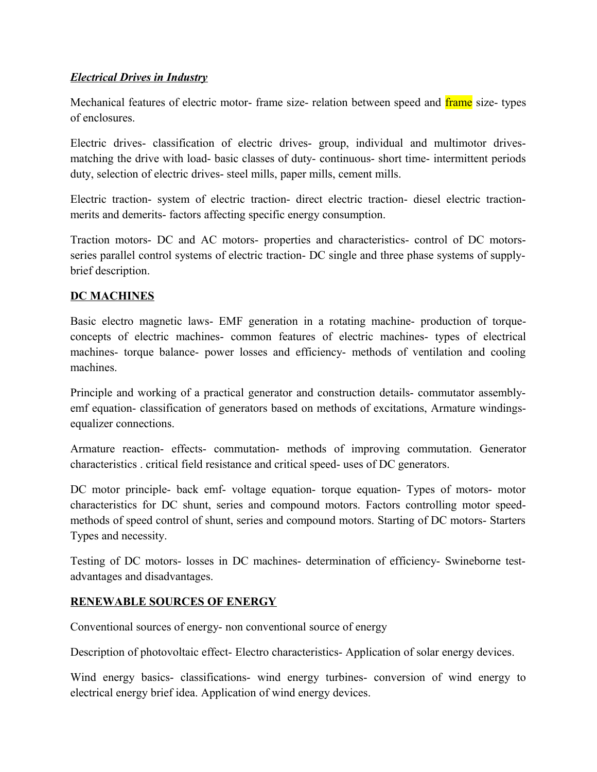#### *Electrical Drives in Industry*

Mechanical features of electric motor- frame size- relation between speed and *frame* size- types of enclosures.

Electric drives- classification of electric drives- group, individual and multimotor drivesmatching the drive with load- basic classes of duty- continuous- short time- intermittent periods duty, selection of electric drives- steel mills, paper mills, cement mills.

Electric traction- system of electric traction- direct electric traction- diesel electric tractionmerits and demerits- factors affecting specific energy consumption.

Traction motors- DC and AC motors- properties and characteristics- control of DC motorsseries parallel control systems of electric traction- DC single and three phase systems of supplybrief description.

#### **DC MACHINES**

Basic electro magnetic laws- EMF generation in a rotating machine- production of torqueconcepts of electric machines- common features of electric machines- types of electrical machines- torque balance- power losses and efficiency- methods of ventilation and cooling machines.

Principle and working of a practical generator and construction details- commutator assemblyemf equation- classification of generators based on methods of excitations, Armature windingsequalizer connections.

Armature reaction- effects- commutation- methods of improving commutation. Generator characteristics . critical field resistance and critical speed- uses of DC generators.

DC motor principle- back emf- voltage equation- torque equation- Types of motors- motor characteristics for DC shunt, series and compound motors. Factors controlling motor speedmethods of speed control of shunt, series and compound motors. Starting of DC motors- Starters Types and necessity.

Testing of DC motors- losses in DC machines- determination of efficiency- Swineborne testadvantages and disadvantages.

#### **RENEWABLE SOURCES OF ENERGY**

Conventional sources of energy- non conventional source of energy

Description of photovoltaic effect- Electro characteristics- Application of solar energy devices.

Wind energy basics- classifications- wind energy turbines- conversion of wind energy to electrical energy brief idea. Application of wind energy devices.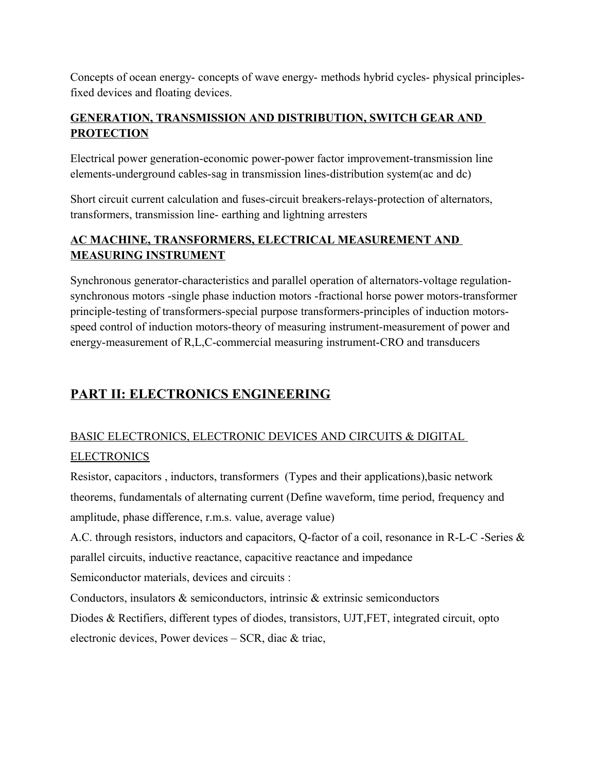Concepts of ocean energy- concepts of wave energy- methods hybrid cycles- physical principlesfixed devices and floating devices.

## **GENERATION, TRANSMISSION AND DISTRIBUTION, SWITCH GEAR AND PROTECTION**

Electrical power generation-economic power-power factor improvement-transmission line elements-underground cables-sag in transmission lines-distribution system(ac and dc)

Short circuit current calculation and fuses-circuit breakers-relays-protection of alternators, transformers, transmission line- earthing and lightning arresters

## **AC MACHINE, TRANSFORMERS, ELECTRICAL MEASUREMENT AND MEASURING INSTRUMENT**

Synchronous generator-characteristics and parallel operation of alternators-voltage regulationsynchronous motors -single phase induction motors -fractional horse power motors-transformer principle-testing of transformers-special purpose transformers-principles of induction motorsspeed control of induction motors-theory of measuring instrument-measurement of power and energy-measurement of R,L,C-commercial measuring instrument-CRO and transducers

# **PART II: ELECTRONICS ENGINEERING**

# BASIC ELECTRONICS, ELECTRONIC DEVICES AND CIRCUITS & DIGITAL **ELECTRONICS**

Resistor, capacitors , inductors, transformers (Types and their applications),basic network theorems, fundamentals of alternating current (Define waveform, time period, frequency and amplitude, phase difference, r.m.s. value, average value)

A.C. through resistors, inductors and capacitors, Q-factor of a coil, resonance in R-L-C -Series & parallel circuits, inductive reactance, capacitive reactance and impedance Semiconductor materials, devices and circuits :

Conductors, insulators & semiconductors, intrinsic & extrinsic semiconductors

Diodes & Rectifiers, different types of diodes, transistors, UJT,FET, integrated circuit, opto electronic devices, Power devices – SCR, diac & triac,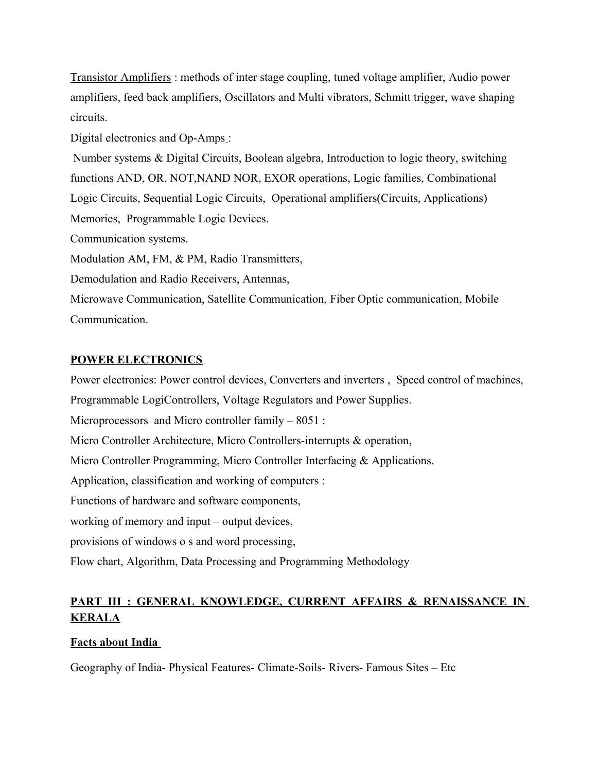Transistor Amplifiers : methods of inter stage coupling, tuned voltage amplifier, Audio power amplifiers, feed back amplifiers, Oscillators and Multi vibrators, Schmitt trigger, wave shaping circuits.

Digital electronics and Op-Amps:

 Number systems & Digital Circuits, Boolean algebra, Introduction to logic theory, switching functions AND, OR, NOT,NAND NOR, EXOR operations, Logic families, Combinational Logic Circuits, Sequential Logic Circuits, Operational amplifiers(Circuits, Applications) Memories, Programmable Logic Devices. Communication systems. Modulation AM, FM, & PM, Radio Transmitters, Demodulation and Radio Receivers, Antennas, Microwave Communication, Satellite Communication, Fiber Optic communication, Mobile Communication.

#### **POWER ELECTRONICS**

Power electronics: Power control devices, Converters and inverters , Speed control of machines, Programmable LogiControllers, Voltage Regulators and Power Supplies. Microprocessors and Micro controller family – 8051 : Micro Controller Architecture, Micro Controllers-interrupts & operation, Micro Controller Programming, Micro Controller Interfacing & Applications. Application, classification and working of computers : Functions of hardware and software components, working of memory and input – output devices, provisions of windows o s and word processing, Flow chart, Algorithm, Data Processing and Programming Methodology

## **PART III : GENERAL KNOWLEDGE, CURRENT AFFAIRS & RENAISSANCE IN KERALA**

### **Facts about India**

Geography of India- Physical Features- Climate-Soils- Rivers- Famous Sites – Etc